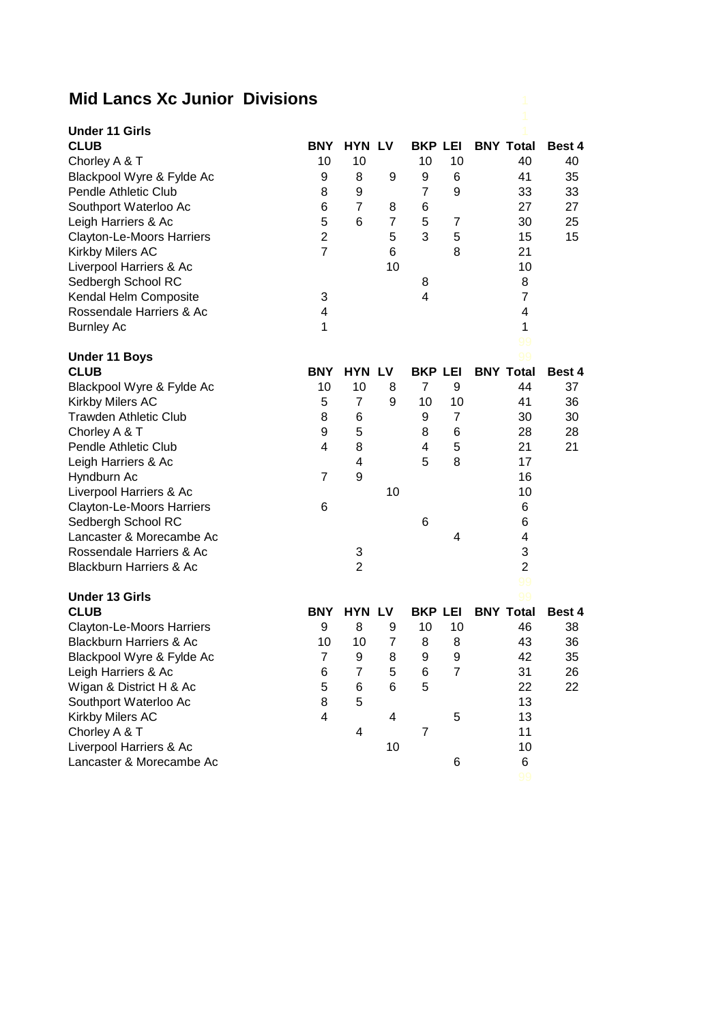## **Mid Lancs Xc Junior Divisions**

| <b>Under 11 Girls</b>              |                         |                |                |                |                |                  |               |
|------------------------------------|-------------------------|----------------|----------------|----------------|----------------|------------------|---------------|
| <b>CLUB</b>                        | <b>BNY</b>              | <b>HYN LV</b>  |                | <b>BKP LEI</b> |                | <b>BNY Total</b> | <b>Best 4</b> |
| Chorley A & T                      | 10                      | 10             |                | 10             | 10             | 40               | 40            |
| Blackpool Wyre & Fylde Ac          | 9                       | 8              | 9              | 9              | 6              | 41               | 35            |
| <b>Pendle Athletic Club</b>        | 8                       | 9              |                | $\overline{7}$ | 9              | 33               | 33            |
| Southport Waterloo Ac              | 6                       | $\overline{7}$ | 8              | 6              |                | 27               | 27            |
| Leigh Harriers & Ac                | 5                       | 6              | $\overline{7}$ | 5              | $\overline{7}$ | 30               | 25            |
| Clayton-Le-Moors Harriers          | $\overline{2}$          |                | 5              | 3              | 5              | 15               | 15            |
| Kirkby Milers AC                   | $\overline{7}$          |                | 6              |                | 8              | 21               |               |
| Liverpool Harriers & Ac            |                         |                | 10             |                |                | 10               |               |
| Sedbergh School RC                 |                         |                |                | 8              |                | 8                |               |
| Kendal Helm Composite              | 3                       |                |                | 4              |                | $\overline{7}$   |               |
| Rossendale Harriers & Ac           | $\overline{\mathbf{4}}$ |                |                |                |                | 4                |               |
| <b>Burnley Ac</b>                  | 1                       |                |                |                |                | 1                |               |
|                                    |                         |                |                |                |                | 99               |               |
| <b>Under 11 Boys</b>               |                         |                |                |                |                | 99               |               |
| <b>CLUB</b>                        | <b>BNY</b>              | <b>HYN LV</b>  |                | <b>BKP LEI</b> |                | <b>BNY Total</b> | Best 4        |
| Blackpool Wyre & Fylde Ac          | 10                      | 10             | 8              | $\overline{7}$ | 9              | 44               | 37            |
| Kirkby Milers AC                   | 5                       | $\overline{7}$ | 9              | 10             | 10             | 41               | 36            |
| <b>Trawden Athletic Club</b>       | 8                       | 6              |                | 9              | $\overline{7}$ | 30               | 30            |
| Chorley A & T                      | 9                       | 5              |                | 8              | 6              | 28               | 28            |
| <b>Pendle Athletic Club</b>        | 4                       | 8              |                | 4              | 5              | 21               | 21            |
| Leigh Harriers & Ac                |                         | 4              |                | 5              | 8              | 17               |               |
| Hyndburn Ac                        | $\overline{7}$          | 9              |                |                |                | 16               |               |
| Liverpool Harriers & Ac            |                         |                | 10             |                |                | 10               |               |
| Clayton-Le-Moors Harriers          | 6                       |                |                |                |                | 6                |               |
| Sedbergh School RC                 |                         |                |                | 6              |                | 6                |               |
| Lancaster & Morecambe Ac           |                         |                |                |                | 4              | 4                |               |
| Rossendale Harriers & Ac           |                         | 3              |                |                |                | 3                |               |
| <b>Blackburn Harriers &amp; Ac</b> |                         | $\overline{2}$ |                |                |                | $\overline{2}$   |               |
|                                    |                         |                |                |                |                | 99               |               |
| <b>Under 13 Girls</b>              |                         |                |                |                |                | 99               |               |
| <b>CLUB</b>                        | <b>BNY</b>              | <b>HYN LV</b>  |                | <b>BKP LEI</b> |                | <b>BNY Total</b> | Best 4        |
| <b>Clayton-Le-Moors Harriers</b>   | 9                       | 8              | 9              | 10             | 10             | 46               | 38            |
| <b>Blackburn Harriers &amp; Ac</b> | 10                      | 10             | $\overline{7}$ | 8              | 8              | 43               | 36            |
| Blackpool Wyre & Fylde Ac          | $\overline{7}$          | 9              | 8              | 9              | 9              | 42               | 35            |
| Leigh Harriers & Ac                | 6                       | $\overline{7}$ | 5 <sup>5</sup> | $\,6$          | $\overline{7}$ | 31               | 26            |
| Wigan & District H & Ac            | 5                       | 6              | 6              | 5              |                | 22               | 22            |
| Southport Waterloo Ac              | 8                       | 5              |                |                |                | 13               |               |
| Kirkby Milers AC                   | $\overline{4}$          |                | 4              |                | 5              | 13               |               |
| Chorley A & T                      |                         | 4              |                | 7              |                | 11               |               |
| Liverpool Harriers & Ac            |                         |                | 10             |                |                | 10               |               |
| Lancaster & Morecambe Ac           |                         |                |                |                | 6              | 6                |               |
|                                    |                         |                |                |                |                |                  |               |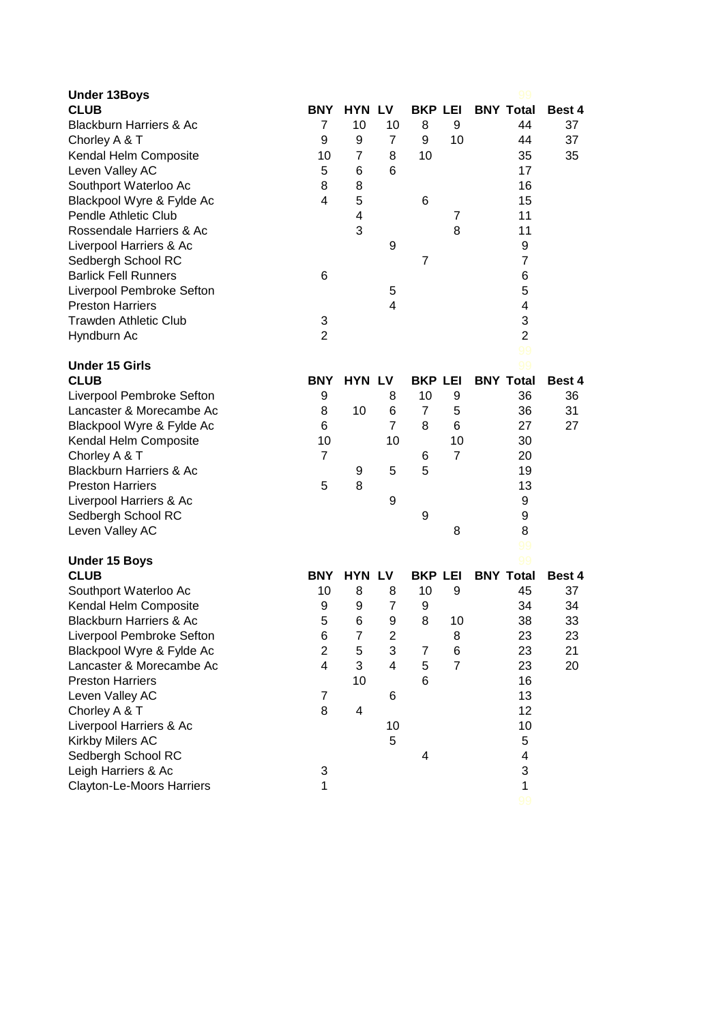| <b>Under 13Boys</b>                |                |                  |                         |                |                |                  |        |
|------------------------------------|----------------|------------------|-------------------------|----------------|----------------|------------------|--------|
| <b>CLUB</b>                        | BNY            | <b>HYN LV</b>    |                         | <b>BKP LEI</b> |                | <b>BNY Total</b> | Best 4 |
| <b>Blackburn Harriers &amp; Ac</b> | 7              | 10               | 10                      | 8              | 9              | 44               | 37     |
| Chorley A & T                      | 9              | 9                | $\overline{7}$          | 9              | 10             | 44               | 37     |
| Kendal Helm Composite              | 10             | 7                | 8                       | 10             |                | 35               | 35     |
| Leven Valley AC                    | 5              | 6                | 6                       |                |                | 17               |        |
| Southport Waterloo Ac              | 8              | 8                |                         |                |                | 16               |        |
| Blackpool Wyre & Fylde Ac          | 4              | 5                |                         | 6              |                | 15               |        |
| <b>Pendle Athletic Club</b>        |                | 4                |                         |                | $\overline{7}$ | 11               |        |
| Rossendale Harriers & Ac           |                | 3                |                         |                | 8              | 11               |        |
| Liverpool Harriers & Ac            |                |                  | 9                       |                |                | 9                |        |
| Sedbergh School RC                 |                |                  |                         | 7              |                | $\overline{7}$   |        |
| <b>Barlick Fell Runners</b>        | 6              |                  |                         |                |                | 6                |        |
| Liverpool Pembroke Sefton          |                |                  | 5                       |                |                | 5                |        |
| <b>Preston Harriers</b>            |                |                  | 4                       |                |                | 4                |        |
| <b>Trawden Athletic Club</b>       | 3              |                  |                         |                |                | 3                |        |
| Hyndburn Ac                        | $\overline{2}$ |                  |                         |                |                | $\overline{2}$   |        |
|                                    |                |                  |                         |                |                | 99               |        |
| <b>Under 15 Girls</b>              |                |                  |                         |                |                | 99               |        |
| <b>CLUB</b>                        | <b>BNY</b>     | <b>HYN LV</b>    |                         | <b>BKP LEI</b> |                | <b>BNY Total</b> | Best 4 |
| Liverpool Pembroke Sefton          | 9              |                  | 8                       | 10             | 9              | 36               | 36     |
| Lancaster & Morecambe Ac           | 8              | 10               | 6                       | $\overline{7}$ | 5              | 36               | 31     |
| Blackpool Wyre & Fylde Ac          | 6              |                  | $\overline{7}$          | 8              | 6              | 27               | 27     |
| Kendal Helm Composite              | 10             |                  | 10                      |                | 10             | 30               |        |
| Chorley A & T                      | $\overline{7}$ |                  |                         | 6              | $\overline{7}$ | 20               |        |
| <b>Blackburn Harriers &amp; Ac</b> |                | 9                | 5                       | 5              |                | 19               |        |
| <b>Preston Harriers</b>            | 5              | 8                |                         |                |                | 13               |        |
| Liverpool Harriers & Ac            |                |                  | 9                       |                |                | 9                |        |
| Sedbergh School RC                 |                |                  |                         | 9              |                | 9                |        |
| Leven Valley AC                    |                |                  |                         |                | 8              | 8<br>99          |        |
| <b>Under 15 Boys</b>               |                |                  |                         |                |                | 99               |        |
| <b>CLUB</b>                        | <b>BNY</b>     | <b>HYN LV</b>    |                         | <b>BKP LEI</b> |                | <b>BNY Total</b> | Best 4 |
| Southport Waterloo Ac              | 10             | 8                | 8                       | 10             | 9              | 45               | 37     |
| Kendal Helm Composite              | 9              | 9                | 7                       | 9              |                | 34               | 34     |
| <b>Blackburn Harriers &amp; Ac</b> | 5              | 6                | 9                       | 8              | 10             | 38               | 33     |
| Liverpool Pembroke Sefton          | 6              | $\boldsymbol{7}$ | 2                       |                | 8              | 23               | 23     |
| Blackpool Wyre & Fylde Ac          | $\overline{2}$ | 5                | 3                       | 7              | 6              | 23               | 21     |
| Lancaster & Morecambe Ac           | $\overline{4}$ | 3                | $\overline{\mathbf{4}}$ | 5              | $\overline{7}$ | 23               | 20     |
| <b>Preston Harriers</b>            |                | 10               |                         | 6              |                | 16               |        |
| Leven Valley AC                    | $\overline{7}$ |                  | 6                       |                |                | 13               |        |
| Chorley A & T                      | 8              | 4                |                         |                |                | 12               |        |
| Liverpool Harriers & Ac            |                |                  | 10                      |                |                | 10               |        |
| Kirkby Milers AC                   |                |                  | 5                       |                |                | 5                |        |
| Sedbergh School RC                 |                |                  |                         | 4              |                | 4                |        |
| Leigh Harriers & Ac                | 3              |                  |                         |                |                | 3                |        |
| Clayton-Le-Moors Harriers          | 1              |                  |                         |                |                | $\mathbf{1}$     |        |
|                                    |                |                  |                         |                |                |                  |        |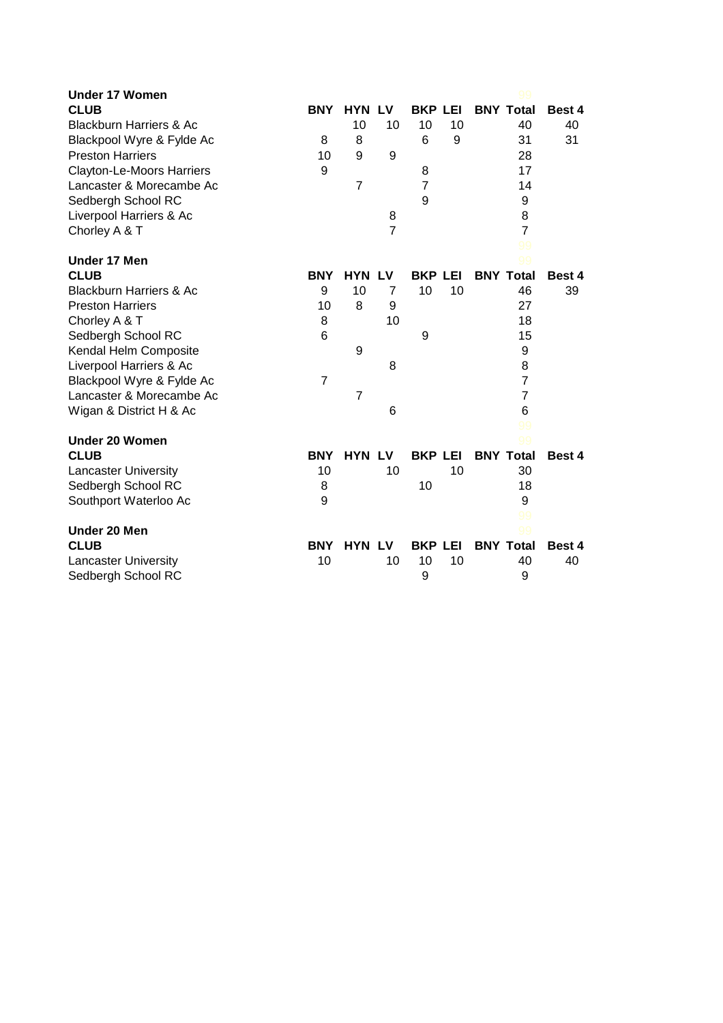| <b>Under 17 Women</b>              |                |                |                |                |    |                  |                |               |
|------------------------------------|----------------|----------------|----------------|----------------|----|------------------|----------------|---------------|
| <b>CLUB</b>                        | <b>BNY</b>     | <b>HYN LV</b>  |                | <b>BKP LEI</b> |    | <b>BNY Total</b> |                | Best 4        |
| <b>Blackburn Harriers &amp; Ac</b> |                | 10             | 10             | 10             | 10 |                  | 40             | 40            |
| Blackpool Wyre & Fylde Ac          | 8              | 8              |                | 6              | 9  |                  | 31             | 31            |
| <b>Preston Harriers</b>            | 10             | 9              | 9              |                |    |                  | 28             |               |
| <b>Clayton-Le-Moors Harriers</b>   | 9              |                |                | 8              |    |                  | 17             |               |
| Lancaster & Morecambe Ac           |                | $\overline{7}$ |                | $\overline{7}$ |    |                  | 14             |               |
| Sedbergh School RC                 |                |                |                | 9              |    |                  | 9              |               |
| Liverpool Harriers & Ac            |                |                | 8              |                |    |                  | 8              |               |
| Chorley A & T                      |                |                | $\overline{7}$ |                |    |                  | $\overline{7}$ |               |
|                                    |                |                |                |                |    |                  | 99             |               |
| Under 17 Men                       |                |                |                |                |    |                  | 99             |               |
| <b>CLUB</b>                        | <b>BNY</b>     | <b>HYN LV</b>  |                | <b>BKP LEI</b> |    | <b>BNY Total</b> |                | Best 4        |
| <b>Blackburn Harriers &amp; Ac</b> | 9              | 10             | 7              | 10             | 10 |                  | 46             | 39            |
| <b>Preston Harriers</b>            | 10             | 8              | 9              |                |    |                  | 27             |               |
| Chorley A & T                      | 8              |                | 10             |                |    |                  | 18             |               |
| Sedbergh School RC                 | 6              |                |                | 9              |    |                  | 15             |               |
| Kendal Helm Composite              |                | 9              |                |                |    |                  | 9              |               |
| Liverpool Harriers & Ac            |                |                | 8              |                |    |                  | 8              |               |
| Blackpool Wyre & Fylde Ac          | $\overline{7}$ |                |                |                |    |                  | $\overline{7}$ |               |
| Lancaster & Morecambe Ac           |                | $\overline{7}$ |                |                |    |                  | $\overline{7}$ |               |
| Wigan & District H & Ac            |                |                | 6              |                |    |                  | $6\phantom{1}$ |               |
|                                    |                |                |                |                |    |                  | 99             |               |
| <b>Under 20 Women</b>              |                |                |                |                |    |                  | 99             |               |
| <b>CLUB</b>                        | <b>BNY</b>     | <b>HYN LV</b>  |                | <b>BKP LEI</b> |    | <b>BNY Total</b> |                | Best 4        |
| <b>Lancaster University</b>        | 10             |                | 10             |                | 10 |                  | 30             |               |
| Sedbergh School RC                 | 8              |                |                | 10             |    |                  | 18             |               |
| Southport Waterloo Ac              | 9              |                |                |                |    |                  | 9              |               |
|                                    |                |                |                |                |    |                  | 99             |               |
| Under 20 Men                       |                |                |                |                |    |                  | 99             |               |
| <b>CLUB</b>                        | <b>BNY</b>     | <b>HYN LV</b>  |                | <b>BKP LEI</b> |    | <b>BNY Total</b> |                | <b>Best 4</b> |
| <b>Lancaster University</b>        | 10             |                | 10             | 10             | 10 |                  | 40             | 40            |
| Sedbergh School RC                 |                |                |                | 9              |    |                  | 9              |               |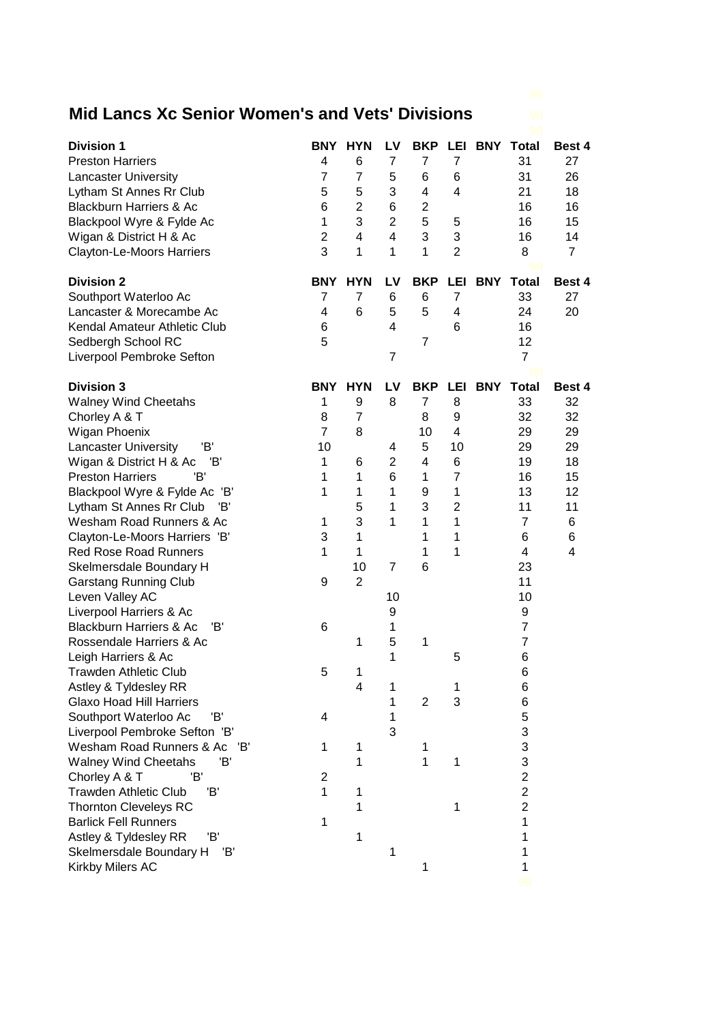## **Mid Lancs Xc Senior Women's and Vets' Divisions** 99

| <b>Division 1</b>                                           | <b>BNY</b>                              | <b>HYN</b>     | LV             | <b>BKP</b>     |                         | <b>LEI BNY</b> | <b>Total</b>                              | Best 4         |
|-------------------------------------------------------------|-----------------------------------------|----------------|----------------|----------------|-------------------------|----------------|-------------------------------------------|----------------|
| <b>Preston Harriers</b>                                     | 4                                       | 6              | $\overline{7}$ | 7              | $\overline{7}$          |                | 31                                        | 27             |
| <b>Lancaster University</b>                                 | $\overline{7}$                          | $\overline{7}$ | 5              | 6              | 6                       |                | 31                                        | 26             |
| Lytham St Annes Rr Club                                     | 5                                       | 5              | 3              | 4              | $\overline{\mathbf{4}}$ |                | 21                                        | 18             |
| Blackburn Harriers & Ac                                     | 6                                       | $\overline{2}$ | 6              | $\overline{2}$ |                         |                | 16                                        | 16             |
| Blackpool Wyre & Fylde Ac                                   | $\mathbf{1}$                            | 3              | $\overline{2}$ | 5              | 5                       |                | 16                                        | 15             |
| Wigan & District H & Ac                                     | $\overline{2}$                          | 4              | $\overline{4}$ | 3              | 3                       |                | 16                                        | 14             |
| <b>Clayton-Le-Moors Harriers</b>                            | 3                                       | 1              | 1              | $\mathbf{1}$   | $\overline{2}$          |                | 8                                         | $\overline{7}$ |
| <b>Division 2</b>                                           | <b>BNY</b>                              | <b>HYN</b>     | LV             | <b>BKP</b>     | <b>LEI</b>              | <b>BNY</b>     | <b>Total</b>                              | Best 4         |
| Southport Waterloo Ac                                       | $\overline{7}$                          | $\overline{7}$ | 6              | 6              | $\overline{7}$          |                | 33                                        | 27             |
| Lancaster & Morecambe Ac                                    | 4                                       | 6              | 5              | 5              | 4                       |                | 24                                        | 20             |
| Kendal Amateur Athletic Club                                | 6                                       |                | 4              |                | 6                       |                | 16                                        |                |
| Sedbergh School RC                                          | 5                                       |                |                | $\overline{7}$ |                         |                | 12                                        |                |
| Liverpool Pembroke Sefton                                   |                                         |                | $\overline{7}$ |                |                         |                | $\overline{7}$<br>99                      |                |
| <b>Division 3</b>                                           | <b>BNY</b>                              | <b>HYN</b>     | LV             | <b>BKP</b>     | LEI                     | <b>BNY</b>     | <b>Total</b>                              | Best 4         |
| <b>Walney Wind Cheetahs</b>                                 | 1                                       | 9              | 8              | $\overline{7}$ | 8                       |                | 33                                        | 32             |
| Chorley A & T                                               | 8                                       | $\overline{7}$ |                | 8              | 9                       |                | 32                                        | 32             |
| Wigan Phoenix                                               | $\overline{7}$                          | 8              |                | 10             | $\overline{4}$          |                | 29                                        | 29             |
| 'B'<br><b>Lancaster University</b>                          | 10                                      |                | 4              | 5              | 10                      |                | 29                                        | 29             |
| Wigan & District H & Ac<br>'B'                              | 1                                       | 6              | $\overline{2}$ | 4              | 6                       |                | 19                                        | 18             |
| <b>Preston Harriers</b><br>Έ                                | 1                                       | 1              | 6              | 1              | $\overline{7}$          |                | 16                                        | 15             |
| Blackpool Wyre & Fylde Ac 'B'                               | 1                                       | 1              | 1              | 9              | 1                       |                | 13                                        | 12             |
| Lytham St Annes Rr Club<br>'B'                              |                                         | 5              | 1              | 3              | $\overline{2}$          |                | 11                                        | 11             |
| Wesham Road Runners & Ac                                    | 1                                       | 3              | 1              | 1              | 1                       |                | $\overline{7}$                            | 6              |
| Clayton-Le-Moors Harriers 'B'                               | 3                                       | 1              |                | 1              | 1                       |                | 6                                         | 6              |
| <b>Red Rose Road Runners</b>                                | 1                                       | 1              |                | 1              | 1                       |                | 4                                         | 4              |
| Skelmersdale Boundary H                                     |                                         | 10             | $\overline{7}$ | 6              |                         |                | 23                                        |                |
| <b>Garstang Running Club</b>                                | 9                                       | $\overline{2}$ |                |                |                         |                | 11                                        |                |
| Leven Valley AC                                             |                                         |                | 10             |                |                         |                | 10                                        |                |
| Liverpool Harriers & Ac                                     |                                         |                | 9              |                |                         |                | 9                                         |                |
| <b>Blackburn Harriers &amp; Ac</b><br>'B'                   | 6                                       |                | 1              |                |                         |                | $\overline{7}$                            |                |
| Rossendale Harriers & Ac                                    |                                         | 1              | 5              | 1              |                         |                | $\overline{7}$                            |                |
| Leigh Harriers & Ac                                         |                                         |                | 1              |                | 5                       |                | 6                                         |                |
| Trawden Athletic Club                                       | 5                                       | 1              |                |                |                         |                | 6                                         |                |
| Astley & Tyldesley RR                                       |                                         | 4              | 1              |                | 1                       |                | 6                                         |                |
| <b>Glaxo Hoad Hill Harriers</b>                             |                                         |                | 1              | $\overline{2}$ | 3                       |                | 6                                         |                |
| Southport Waterloo Ac<br>'B'                                | 4                                       |                | 1              |                |                         |                | 5                                         |                |
| Liverpool Pembroke Sefton 'B'                               |                                         |                | 3              |                |                         |                | 3                                         |                |
| Wesham Road Runners & Ac<br>'B'                             | 1                                       | 1              |                | 1              |                         |                | 3                                         |                |
| <b>Walney Wind Cheetahs</b><br>'B'                          |                                         | 1              |                | 1              | 1                       |                | 3                                         |                |
| 'B'<br>Chorley A & T                                        | $\overline{\mathbf{c}}$<br>$\mathbf{1}$ |                |                |                |                         |                | $\overline{\mathbf{c}}$<br>$\overline{2}$ |                |
| <b>Trawden Athletic Club</b><br>'B'                         |                                         | 1              |                |                |                         |                |                                           |                |
| <b>Thornton Cleveleys RC</b><br><b>Barlick Fell Runners</b> |                                         | 1              |                |                | 1                       |                | $\overline{2}$<br>1                       |                |
| 'B'                                                         | 1                                       | 1              |                |                |                         |                | 1                                         |                |
| Astley & Tyldesley RR<br>Skelmersdale Boundary H<br>'B'     |                                         |                | 1              |                |                         |                | 1                                         |                |
| Kirkby Milers AC                                            |                                         |                |                | 1              |                         |                | 1                                         |                |
|                                                             |                                         |                |                |                |                         |                |                                           |                |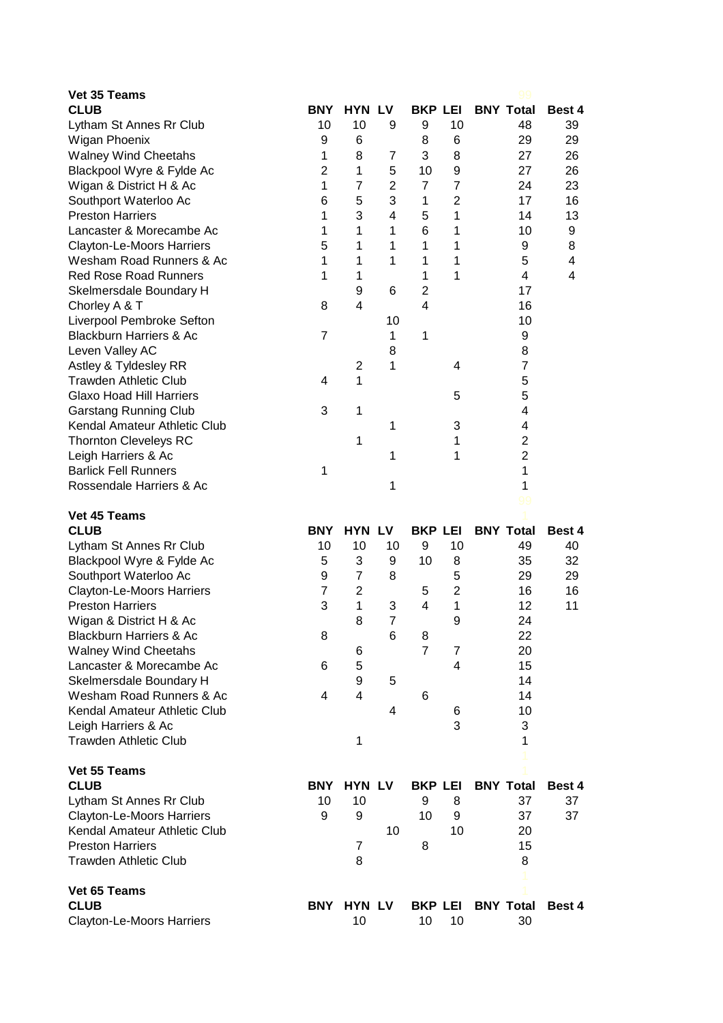| <b>CLUB</b><br><b>HYN LV</b><br><b>BNY Total</b><br><b>BNY</b><br><b>BKP LEI</b><br>10<br>Lytham St Annes Rr Club<br>10<br>9<br>9<br>10<br>48<br>39<br>Wigan Phoenix<br>9<br>6<br>8<br>6<br>29<br>29<br><b>Walney Wind Cheetahs</b><br>3<br>1<br>8<br>8<br>27<br>7<br>26<br>$\overline{2}$<br>5<br>9<br>Blackpool Wyre & Fylde Ac<br>1<br>10<br>27<br>26<br>$\overline{7}$<br>$\overline{7}$<br>$\mathbf{1}$<br>$\overline{2}$<br>$\overline{7}$<br>24<br>Wigan & District H & Ac<br>23<br>6<br>5<br>3<br>$\overline{2}$<br>1<br>17<br>Southport Waterloo Ac<br>16<br>3<br>5<br>1<br><b>Preston Harriers</b><br>1<br>4<br>14<br>13<br>6<br>Lancaster & Morecambe Ac<br>1<br>1<br>$\mathbf{1}$<br>1<br>10<br>9<br>5<br><b>Clayton-Le-Moors Harriers</b><br>1<br>1<br>1<br>1<br>9<br>8<br>1<br>$\mathbf{1}$<br>Wesham Road Runners & Ac<br>1<br>1<br>1<br>5<br>4<br>1<br><b>Red Rose Road Runners</b><br>1<br>1<br>4<br>4<br>1<br>9<br>$\overline{2}$<br>6<br>17<br>Skelmersdale Boundary H<br>4<br>4<br>8<br>16<br>Chorley A & T<br>Liverpool Pembroke Sefton<br>10<br>10<br>$\overline{7}$<br><b>Blackburn Harriers &amp; Ac</b><br>$\mathbf 1$<br>1<br>9<br>8<br>8<br>Leven Valley AC<br>$\overline{7}$<br>$\mathbf{1}$<br>Astley & Tyldesley RR<br>$\overline{2}$<br>4<br>5<br>1<br><b>Trawden Athletic Club</b><br>4<br>5<br><b>Glaxo Hoad Hill Harriers</b><br>5<br>4<br><b>Garstang Running Club</b><br>3<br>1<br>Kendal Amateur Athletic Club<br>1<br>3<br>4<br>$\overline{2}$<br><b>Thornton Cleveleys RC</b><br>1<br>1<br>$\overline{2}$<br>1<br>Leigh Harriers & Ac<br>1<br><b>Barlick Fell Runners</b><br>1<br>1<br>Rossendale Harriers & Ac<br>1<br>1<br>99<br>Vet 45 Teams<br><b>CLUB</b><br><b>BNY</b><br><b>HYN LV</b><br><b>BKP LEI</b><br><b>BNY Total</b><br>Best 4<br>10<br>9<br>Lytham St Annes Rr Club<br>10<br>10<br>10<br>49<br>40<br>3<br>8<br>Blackpool Wyre & Fylde Ac<br>5<br>9<br>10<br>35<br>32<br>9<br>$\overline{7}$<br>5<br>Southport Waterloo Ac<br>8<br>29<br>29<br>7<br>$\overline{2}$<br>$\overline{2}$<br><b>Clayton-Le-Moors Harriers</b><br>5<br>16<br>16<br>3<br>4<br><b>Preston Harriers</b><br>1<br>3<br>1<br>12<br>11<br>$\overline{7}$<br>8<br>9<br>24<br>Wigan & District H & Ac<br>$\,6$<br>22<br><b>Blackburn Harriers &amp; Ac</b><br>8<br>8<br>$\overline{7}$<br><b>Walney Wind Cheetahs</b><br>7<br>20<br>6<br>5<br>4<br>15<br>Lancaster & Morecambe Ac<br>6<br>9<br>14<br>Skelmersdale Boundary H<br>5<br>14<br>Wesham Road Runners & Ac<br>4<br>6<br>4<br>Kendal Amateur Athletic Club<br>10<br>4<br>6<br>3<br>Leigh Harriers & Ac<br>3<br><b>Trawden Athletic Club</b><br>1<br>1<br>Vet 55 Teams<br><b>CLUB</b><br><b>BNY</b><br><b>HYN LV</b><br><b>BKP LEI</b><br><b>BNY Total</b><br>Best 4<br>9<br>Lytham St Annes Rr Club<br>10<br>10<br>8<br>37<br>37<br>Clayton-Le-Moors Harriers<br>9<br>10<br>9<br>9<br>37<br>37<br>Kendal Amateur Athletic Club<br>10<br>10<br>20<br><b>Preston Harriers</b><br>7<br>8<br>15<br><b>Trawden Athletic Club</b><br>8<br>8<br>Vet 65 Teams<br><b>CLUB</b><br><b>HYN LV</b><br><b>BNY Total</b><br><b>BNY</b><br><b>BKP LEI</b><br>Best 4<br>10<br>Clayton-Le-Moors Harriers<br>10<br>10<br>30 | Vet 35 Teams |  |  |  |        |
|-----------------------------------------------------------------------------------------------------------------------------------------------------------------------------------------------------------------------------------------------------------------------------------------------------------------------------------------------------------------------------------------------------------------------------------------------------------------------------------------------------------------------------------------------------------------------------------------------------------------------------------------------------------------------------------------------------------------------------------------------------------------------------------------------------------------------------------------------------------------------------------------------------------------------------------------------------------------------------------------------------------------------------------------------------------------------------------------------------------------------------------------------------------------------------------------------------------------------------------------------------------------------------------------------------------------------------------------------------------------------------------------------------------------------------------------------------------------------------------------------------------------------------------------------------------------------------------------------------------------------------------------------------------------------------------------------------------------------------------------------------------------------------------------------------------------------------------------------------------------------------------------------------------------------------------------------------------------------------------------------------------------------------------------------------------------------------------------------------------------------------------------------------------------------------------------------------------------------------------------------------------------------------------------------------------------------------------------------------------------------------------------------------------------------------------------------------------------------------------------------------------------------------------------------------------------------------------------------------------------------------------------------------------------------------------------------------------------------------------------------------------------------------------------------------------------------------------------------------------------------------------------------------------------------------------------------------------------------------------------------------------------------------------------------------------------------------------------------------------------------------------------------------------------------------------------|--------------|--|--|--|--------|
|                                                                                                                                                                                                                                                                                                                                                                                                                                                                                                                                                                                                                                                                                                                                                                                                                                                                                                                                                                                                                                                                                                                                                                                                                                                                                                                                                                                                                                                                                                                                                                                                                                                                                                                                                                                                                                                                                                                                                                                                                                                                                                                                                                                                                                                                                                                                                                                                                                                                                                                                                                                                                                                                                                                                                                                                                                                                                                                                                                                                                                                                                                                                                                                         |              |  |  |  | Best 4 |
|                                                                                                                                                                                                                                                                                                                                                                                                                                                                                                                                                                                                                                                                                                                                                                                                                                                                                                                                                                                                                                                                                                                                                                                                                                                                                                                                                                                                                                                                                                                                                                                                                                                                                                                                                                                                                                                                                                                                                                                                                                                                                                                                                                                                                                                                                                                                                                                                                                                                                                                                                                                                                                                                                                                                                                                                                                                                                                                                                                                                                                                                                                                                                                                         |              |  |  |  |        |
|                                                                                                                                                                                                                                                                                                                                                                                                                                                                                                                                                                                                                                                                                                                                                                                                                                                                                                                                                                                                                                                                                                                                                                                                                                                                                                                                                                                                                                                                                                                                                                                                                                                                                                                                                                                                                                                                                                                                                                                                                                                                                                                                                                                                                                                                                                                                                                                                                                                                                                                                                                                                                                                                                                                                                                                                                                                                                                                                                                                                                                                                                                                                                                                         |              |  |  |  |        |
|                                                                                                                                                                                                                                                                                                                                                                                                                                                                                                                                                                                                                                                                                                                                                                                                                                                                                                                                                                                                                                                                                                                                                                                                                                                                                                                                                                                                                                                                                                                                                                                                                                                                                                                                                                                                                                                                                                                                                                                                                                                                                                                                                                                                                                                                                                                                                                                                                                                                                                                                                                                                                                                                                                                                                                                                                                                                                                                                                                                                                                                                                                                                                                                         |              |  |  |  |        |
|                                                                                                                                                                                                                                                                                                                                                                                                                                                                                                                                                                                                                                                                                                                                                                                                                                                                                                                                                                                                                                                                                                                                                                                                                                                                                                                                                                                                                                                                                                                                                                                                                                                                                                                                                                                                                                                                                                                                                                                                                                                                                                                                                                                                                                                                                                                                                                                                                                                                                                                                                                                                                                                                                                                                                                                                                                                                                                                                                                                                                                                                                                                                                                                         |              |  |  |  |        |
|                                                                                                                                                                                                                                                                                                                                                                                                                                                                                                                                                                                                                                                                                                                                                                                                                                                                                                                                                                                                                                                                                                                                                                                                                                                                                                                                                                                                                                                                                                                                                                                                                                                                                                                                                                                                                                                                                                                                                                                                                                                                                                                                                                                                                                                                                                                                                                                                                                                                                                                                                                                                                                                                                                                                                                                                                                                                                                                                                                                                                                                                                                                                                                                         |              |  |  |  |        |
|                                                                                                                                                                                                                                                                                                                                                                                                                                                                                                                                                                                                                                                                                                                                                                                                                                                                                                                                                                                                                                                                                                                                                                                                                                                                                                                                                                                                                                                                                                                                                                                                                                                                                                                                                                                                                                                                                                                                                                                                                                                                                                                                                                                                                                                                                                                                                                                                                                                                                                                                                                                                                                                                                                                                                                                                                                                                                                                                                                                                                                                                                                                                                                                         |              |  |  |  |        |
|                                                                                                                                                                                                                                                                                                                                                                                                                                                                                                                                                                                                                                                                                                                                                                                                                                                                                                                                                                                                                                                                                                                                                                                                                                                                                                                                                                                                                                                                                                                                                                                                                                                                                                                                                                                                                                                                                                                                                                                                                                                                                                                                                                                                                                                                                                                                                                                                                                                                                                                                                                                                                                                                                                                                                                                                                                                                                                                                                                                                                                                                                                                                                                                         |              |  |  |  |        |
|                                                                                                                                                                                                                                                                                                                                                                                                                                                                                                                                                                                                                                                                                                                                                                                                                                                                                                                                                                                                                                                                                                                                                                                                                                                                                                                                                                                                                                                                                                                                                                                                                                                                                                                                                                                                                                                                                                                                                                                                                                                                                                                                                                                                                                                                                                                                                                                                                                                                                                                                                                                                                                                                                                                                                                                                                                                                                                                                                                                                                                                                                                                                                                                         |              |  |  |  |        |
|                                                                                                                                                                                                                                                                                                                                                                                                                                                                                                                                                                                                                                                                                                                                                                                                                                                                                                                                                                                                                                                                                                                                                                                                                                                                                                                                                                                                                                                                                                                                                                                                                                                                                                                                                                                                                                                                                                                                                                                                                                                                                                                                                                                                                                                                                                                                                                                                                                                                                                                                                                                                                                                                                                                                                                                                                                                                                                                                                                                                                                                                                                                                                                                         |              |  |  |  |        |
|                                                                                                                                                                                                                                                                                                                                                                                                                                                                                                                                                                                                                                                                                                                                                                                                                                                                                                                                                                                                                                                                                                                                                                                                                                                                                                                                                                                                                                                                                                                                                                                                                                                                                                                                                                                                                                                                                                                                                                                                                                                                                                                                                                                                                                                                                                                                                                                                                                                                                                                                                                                                                                                                                                                                                                                                                                                                                                                                                                                                                                                                                                                                                                                         |              |  |  |  |        |
|                                                                                                                                                                                                                                                                                                                                                                                                                                                                                                                                                                                                                                                                                                                                                                                                                                                                                                                                                                                                                                                                                                                                                                                                                                                                                                                                                                                                                                                                                                                                                                                                                                                                                                                                                                                                                                                                                                                                                                                                                                                                                                                                                                                                                                                                                                                                                                                                                                                                                                                                                                                                                                                                                                                                                                                                                                                                                                                                                                                                                                                                                                                                                                                         |              |  |  |  |        |
|                                                                                                                                                                                                                                                                                                                                                                                                                                                                                                                                                                                                                                                                                                                                                                                                                                                                                                                                                                                                                                                                                                                                                                                                                                                                                                                                                                                                                                                                                                                                                                                                                                                                                                                                                                                                                                                                                                                                                                                                                                                                                                                                                                                                                                                                                                                                                                                                                                                                                                                                                                                                                                                                                                                                                                                                                                                                                                                                                                                                                                                                                                                                                                                         |              |  |  |  |        |
|                                                                                                                                                                                                                                                                                                                                                                                                                                                                                                                                                                                                                                                                                                                                                                                                                                                                                                                                                                                                                                                                                                                                                                                                                                                                                                                                                                                                                                                                                                                                                                                                                                                                                                                                                                                                                                                                                                                                                                                                                                                                                                                                                                                                                                                                                                                                                                                                                                                                                                                                                                                                                                                                                                                                                                                                                                                                                                                                                                                                                                                                                                                                                                                         |              |  |  |  |        |
|                                                                                                                                                                                                                                                                                                                                                                                                                                                                                                                                                                                                                                                                                                                                                                                                                                                                                                                                                                                                                                                                                                                                                                                                                                                                                                                                                                                                                                                                                                                                                                                                                                                                                                                                                                                                                                                                                                                                                                                                                                                                                                                                                                                                                                                                                                                                                                                                                                                                                                                                                                                                                                                                                                                                                                                                                                                                                                                                                                                                                                                                                                                                                                                         |              |  |  |  |        |
|                                                                                                                                                                                                                                                                                                                                                                                                                                                                                                                                                                                                                                                                                                                                                                                                                                                                                                                                                                                                                                                                                                                                                                                                                                                                                                                                                                                                                                                                                                                                                                                                                                                                                                                                                                                                                                                                                                                                                                                                                                                                                                                                                                                                                                                                                                                                                                                                                                                                                                                                                                                                                                                                                                                                                                                                                                                                                                                                                                                                                                                                                                                                                                                         |              |  |  |  |        |
|                                                                                                                                                                                                                                                                                                                                                                                                                                                                                                                                                                                                                                                                                                                                                                                                                                                                                                                                                                                                                                                                                                                                                                                                                                                                                                                                                                                                                                                                                                                                                                                                                                                                                                                                                                                                                                                                                                                                                                                                                                                                                                                                                                                                                                                                                                                                                                                                                                                                                                                                                                                                                                                                                                                                                                                                                                                                                                                                                                                                                                                                                                                                                                                         |              |  |  |  |        |
|                                                                                                                                                                                                                                                                                                                                                                                                                                                                                                                                                                                                                                                                                                                                                                                                                                                                                                                                                                                                                                                                                                                                                                                                                                                                                                                                                                                                                                                                                                                                                                                                                                                                                                                                                                                                                                                                                                                                                                                                                                                                                                                                                                                                                                                                                                                                                                                                                                                                                                                                                                                                                                                                                                                                                                                                                                                                                                                                                                                                                                                                                                                                                                                         |              |  |  |  |        |
|                                                                                                                                                                                                                                                                                                                                                                                                                                                                                                                                                                                                                                                                                                                                                                                                                                                                                                                                                                                                                                                                                                                                                                                                                                                                                                                                                                                                                                                                                                                                                                                                                                                                                                                                                                                                                                                                                                                                                                                                                                                                                                                                                                                                                                                                                                                                                                                                                                                                                                                                                                                                                                                                                                                                                                                                                                                                                                                                                                                                                                                                                                                                                                                         |              |  |  |  |        |
|                                                                                                                                                                                                                                                                                                                                                                                                                                                                                                                                                                                                                                                                                                                                                                                                                                                                                                                                                                                                                                                                                                                                                                                                                                                                                                                                                                                                                                                                                                                                                                                                                                                                                                                                                                                                                                                                                                                                                                                                                                                                                                                                                                                                                                                                                                                                                                                                                                                                                                                                                                                                                                                                                                                                                                                                                                                                                                                                                                                                                                                                                                                                                                                         |              |  |  |  |        |
|                                                                                                                                                                                                                                                                                                                                                                                                                                                                                                                                                                                                                                                                                                                                                                                                                                                                                                                                                                                                                                                                                                                                                                                                                                                                                                                                                                                                                                                                                                                                                                                                                                                                                                                                                                                                                                                                                                                                                                                                                                                                                                                                                                                                                                                                                                                                                                                                                                                                                                                                                                                                                                                                                                                                                                                                                                                                                                                                                                                                                                                                                                                                                                                         |              |  |  |  |        |
|                                                                                                                                                                                                                                                                                                                                                                                                                                                                                                                                                                                                                                                                                                                                                                                                                                                                                                                                                                                                                                                                                                                                                                                                                                                                                                                                                                                                                                                                                                                                                                                                                                                                                                                                                                                                                                                                                                                                                                                                                                                                                                                                                                                                                                                                                                                                                                                                                                                                                                                                                                                                                                                                                                                                                                                                                                                                                                                                                                                                                                                                                                                                                                                         |              |  |  |  |        |
|                                                                                                                                                                                                                                                                                                                                                                                                                                                                                                                                                                                                                                                                                                                                                                                                                                                                                                                                                                                                                                                                                                                                                                                                                                                                                                                                                                                                                                                                                                                                                                                                                                                                                                                                                                                                                                                                                                                                                                                                                                                                                                                                                                                                                                                                                                                                                                                                                                                                                                                                                                                                                                                                                                                                                                                                                                                                                                                                                                                                                                                                                                                                                                                         |              |  |  |  |        |
|                                                                                                                                                                                                                                                                                                                                                                                                                                                                                                                                                                                                                                                                                                                                                                                                                                                                                                                                                                                                                                                                                                                                                                                                                                                                                                                                                                                                                                                                                                                                                                                                                                                                                                                                                                                                                                                                                                                                                                                                                                                                                                                                                                                                                                                                                                                                                                                                                                                                                                                                                                                                                                                                                                                                                                                                                                                                                                                                                                                                                                                                                                                                                                                         |              |  |  |  |        |
|                                                                                                                                                                                                                                                                                                                                                                                                                                                                                                                                                                                                                                                                                                                                                                                                                                                                                                                                                                                                                                                                                                                                                                                                                                                                                                                                                                                                                                                                                                                                                                                                                                                                                                                                                                                                                                                                                                                                                                                                                                                                                                                                                                                                                                                                                                                                                                                                                                                                                                                                                                                                                                                                                                                                                                                                                                                                                                                                                                                                                                                                                                                                                                                         |              |  |  |  |        |
|                                                                                                                                                                                                                                                                                                                                                                                                                                                                                                                                                                                                                                                                                                                                                                                                                                                                                                                                                                                                                                                                                                                                                                                                                                                                                                                                                                                                                                                                                                                                                                                                                                                                                                                                                                                                                                                                                                                                                                                                                                                                                                                                                                                                                                                                                                                                                                                                                                                                                                                                                                                                                                                                                                                                                                                                                                                                                                                                                                                                                                                                                                                                                                                         |              |  |  |  |        |
|                                                                                                                                                                                                                                                                                                                                                                                                                                                                                                                                                                                                                                                                                                                                                                                                                                                                                                                                                                                                                                                                                                                                                                                                                                                                                                                                                                                                                                                                                                                                                                                                                                                                                                                                                                                                                                                                                                                                                                                                                                                                                                                                                                                                                                                                                                                                                                                                                                                                                                                                                                                                                                                                                                                                                                                                                                                                                                                                                                                                                                                                                                                                                                                         |              |  |  |  |        |
|                                                                                                                                                                                                                                                                                                                                                                                                                                                                                                                                                                                                                                                                                                                                                                                                                                                                                                                                                                                                                                                                                                                                                                                                                                                                                                                                                                                                                                                                                                                                                                                                                                                                                                                                                                                                                                                                                                                                                                                                                                                                                                                                                                                                                                                                                                                                                                                                                                                                                                                                                                                                                                                                                                                                                                                                                                                                                                                                                                                                                                                                                                                                                                                         |              |  |  |  |        |
|                                                                                                                                                                                                                                                                                                                                                                                                                                                                                                                                                                                                                                                                                                                                                                                                                                                                                                                                                                                                                                                                                                                                                                                                                                                                                                                                                                                                                                                                                                                                                                                                                                                                                                                                                                                                                                                                                                                                                                                                                                                                                                                                                                                                                                                                                                                                                                                                                                                                                                                                                                                                                                                                                                                                                                                                                                                                                                                                                                                                                                                                                                                                                                                         |              |  |  |  |        |
|                                                                                                                                                                                                                                                                                                                                                                                                                                                                                                                                                                                                                                                                                                                                                                                                                                                                                                                                                                                                                                                                                                                                                                                                                                                                                                                                                                                                                                                                                                                                                                                                                                                                                                                                                                                                                                                                                                                                                                                                                                                                                                                                                                                                                                                                                                                                                                                                                                                                                                                                                                                                                                                                                                                                                                                                                                                                                                                                                                                                                                                                                                                                                                                         |              |  |  |  |        |
|                                                                                                                                                                                                                                                                                                                                                                                                                                                                                                                                                                                                                                                                                                                                                                                                                                                                                                                                                                                                                                                                                                                                                                                                                                                                                                                                                                                                                                                                                                                                                                                                                                                                                                                                                                                                                                                                                                                                                                                                                                                                                                                                                                                                                                                                                                                                                                                                                                                                                                                                                                                                                                                                                                                                                                                                                                                                                                                                                                                                                                                                                                                                                                                         |              |  |  |  |        |
|                                                                                                                                                                                                                                                                                                                                                                                                                                                                                                                                                                                                                                                                                                                                                                                                                                                                                                                                                                                                                                                                                                                                                                                                                                                                                                                                                                                                                                                                                                                                                                                                                                                                                                                                                                                                                                                                                                                                                                                                                                                                                                                                                                                                                                                                                                                                                                                                                                                                                                                                                                                                                                                                                                                                                                                                                                                                                                                                                                                                                                                                                                                                                                                         |              |  |  |  |        |
|                                                                                                                                                                                                                                                                                                                                                                                                                                                                                                                                                                                                                                                                                                                                                                                                                                                                                                                                                                                                                                                                                                                                                                                                                                                                                                                                                                                                                                                                                                                                                                                                                                                                                                                                                                                                                                                                                                                                                                                                                                                                                                                                                                                                                                                                                                                                                                                                                                                                                                                                                                                                                                                                                                                                                                                                                                                                                                                                                                                                                                                                                                                                                                                         |              |  |  |  |        |
|                                                                                                                                                                                                                                                                                                                                                                                                                                                                                                                                                                                                                                                                                                                                                                                                                                                                                                                                                                                                                                                                                                                                                                                                                                                                                                                                                                                                                                                                                                                                                                                                                                                                                                                                                                                                                                                                                                                                                                                                                                                                                                                                                                                                                                                                                                                                                                                                                                                                                                                                                                                                                                                                                                                                                                                                                                                                                                                                                                                                                                                                                                                                                                                         |              |  |  |  |        |
|                                                                                                                                                                                                                                                                                                                                                                                                                                                                                                                                                                                                                                                                                                                                                                                                                                                                                                                                                                                                                                                                                                                                                                                                                                                                                                                                                                                                                                                                                                                                                                                                                                                                                                                                                                                                                                                                                                                                                                                                                                                                                                                                                                                                                                                                                                                                                                                                                                                                                                                                                                                                                                                                                                                                                                                                                                                                                                                                                                                                                                                                                                                                                                                         |              |  |  |  |        |
|                                                                                                                                                                                                                                                                                                                                                                                                                                                                                                                                                                                                                                                                                                                                                                                                                                                                                                                                                                                                                                                                                                                                                                                                                                                                                                                                                                                                                                                                                                                                                                                                                                                                                                                                                                                                                                                                                                                                                                                                                                                                                                                                                                                                                                                                                                                                                                                                                                                                                                                                                                                                                                                                                                                                                                                                                                                                                                                                                                                                                                                                                                                                                                                         |              |  |  |  |        |
|                                                                                                                                                                                                                                                                                                                                                                                                                                                                                                                                                                                                                                                                                                                                                                                                                                                                                                                                                                                                                                                                                                                                                                                                                                                                                                                                                                                                                                                                                                                                                                                                                                                                                                                                                                                                                                                                                                                                                                                                                                                                                                                                                                                                                                                                                                                                                                                                                                                                                                                                                                                                                                                                                                                                                                                                                                                                                                                                                                                                                                                                                                                                                                                         |              |  |  |  |        |
|                                                                                                                                                                                                                                                                                                                                                                                                                                                                                                                                                                                                                                                                                                                                                                                                                                                                                                                                                                                                                                                                                                                                                                                                                                                                                                                                                                                                                                                                                                                                                                                                                                                                                                                                                                                                                                                                                                                                                                                                                                                                                                                                                                                                                                                                                                                                                                                                                                                                                                                                                                                                                                                                                                                                                                                                                                                                                                                                                                                                                                                                                                                                                                                         |              |  |  |  |        |
|                                                                                                                                                                                                                                                                                                                                                                                                                                                                                                                                                                                                                                                                                                                                                                                                                                                                                                                                                                                                                                                                                                                                                                                                                                                                                                                                                                                                                                                                                                                                                                                                                                                                                                                                                                                                                                                                                                                                                                                                                                                                                                                                                                                                                                                                                                                                                                                                                                                                                                                                                                                                                                                                                                                                                                                                                                                                                                                                                                                                                                                                                                                                                                                         |              |  |  |  |        |
|                                                                                                                                                                                                                                                                                                                                                                                                                                                                                                                                                                                                                                                                                                                                                                                                                                                                                                                                                                                                                                                                                                                                                                                                                                                                                                                                                                                                                                                                                                                                                                                                                                                                                                                                                                                                                                                                                                                                                                                                                                                                                                                                                                                                                                                                                                                                                                                                                                                                                                                                                                                                                                                                                                                                                                                                                                                                                                                                                                                                                                                                                                                                                                                         |              |  |  |  |        |
|                                                                                                                                                                                                                                                                                                                                                                                                                                                                                                                                                                                                                                                                                                                                                                                                                                                                                                                                                                                                                                                                                                                                                                                                                                                                                                                                                                                                                                                                                                                                                                                                                                                                                                                                                                                                                                                                                                                                                                                                                                                                                                                                                                                                                                                                                                                                                                                                                                                                                                                                                                                                                                                                                                                                                                                                                                                                                                                                                                                                                                                                                                                                                                                         |              |  |  |  |        |
|                                                                                                                                                                                                                                                                                                                                                                                                                                                                                                                                                                                                                                                                                                                                                                                                                                                                                                                                                                                                                                                                                                                                                                                                                                                                                                                                                                                                                                                                                                                                                                                                                                                                                                                                                                                                                                                                                                                                                                                                                                                                                                                                                                                                                                                                                                                                                                                                                                                                                                                                                                                                                                                                                                                                                                                                                                                                                                                                                                                                                                                                                                                                                                                         |              |  |  |  |        |
|                                                                                                                                                                                                                                                                                                                                                                                                                                                                                                                                                                                                                                                                                                                                                                                                                                                                                                                                                                                                                                                                                                                                                                                                                                                                                                                                                                                                                                                                                                                                                                                                                                                                                                                                                                                                                                                                                                                                                                                                                                                                                                                                                                                                                                                                                                                                                                                                                                                                                                                                                                                                                                                                                                                                                                                                                                                                                                                                                                                                                                                                                                                                                                                         |              |  |  |  |        |
|                                                                                                                                                                                                                                                                                                                                                                                                                                                                                                                                                                                                                                                                                                                                                                                                                                                                                                                                                                                                                                                                                                                                                                                                                                                                                                                                                                                                                                                                                                                                                                                                                                                                                                                                                                                                                                                                                                                                                                                                                                                                                                                                                                                                                                                                                                                                                                                                                                                                                                                                                                                                                                                                                                                                                                                                                                                                                                                                                                                                                                                                                                                                                                                         |              |  |  |  |        |
|                                                                                                                                                                                                                                                                                                                                                                                                                                                                                                                                                                                                                                                                                                                                                                                                                                                                                                                                                                                                                                                                                                                                                                                                                                                                                                                                                                                                                                                                                                                                                                                                                                                                                                                                                                                                                                                                                                                                                                                                                                                                                                                                                                                                                                                                                                                                                                                                                                                                                                                                                                                                                                                                                                                                                                                                                                                                                                                                                                                                                                                                                                                                                                                         |              |  |  |  |        |
|                                                                                                                                                                                                                                                                                                                                                                                                                                                                                                                                                                                                                                                                                                                                                                                                                                                                                                                                                                                                                                                                                                                                                                                                                                                                                                                                                                                                                                                                                                                                                                                                                                                                                                                                                                                                                                                                                                                                                                                                                                                                                                                                                                                                                                                                                                                                                                                                                                                                                                                                                                                                                                                                                                                                                                                                                                                                                                                                                                                                                                                                                                                                                                                         |              |  |  |  |        |
|                                                                                                                                                                                                                                                                                                                                                                                                                                                                                                                                                                                                                                                                                                                                                                                                                                                                                                                                                                                                                                                                                                                                                                                                                                                                                                                                                                                                                                                                                                                                                                                                                                                                                                                                                                                                                                                                                                                                                                                                                                                                                                                                                                                                                                                                                                                                                                                                                                                                                                                                                                                                                                                                                                                                                                                                                                                                                                                                                                                                                                                                                                                                                                                         |              |  |  |  |        |
|                                                                                                                                                                                                                                                                                                                                                                                                                                                                                                                                                                                                                                                                                                                                                                                                                                                                                                                                                                                                                                                                                                                                                                                                                                                                                                                                                                                                                                                                                                                                                                                                                                                                                                                                                                                                                                                                                                                                                                                                                                                                                                                                                                                                                                                                                                                                                                                                                                                                                                                                                                                                                                                                                                                                                                                                                                                                                                                                                                                                                                                                                                                                                                                         |              |  |  |  |        |
|                                                                                                                                                                                                                                                                                                                                                                                                                                                                                                                                                                                                                                                                                                                                                                                                                                                                                                                                                                                                                                                                                                                                                                                                                                                                                                                                                                                                                                                                                                                                                                                                                                                                                                                                                                                                                                                                                                                                                                                                                                                                                                                                                                                                                                                                                                                                                                                                                                                                                                                                                                                                                                                                                                                                                                                                                                                                                                                                                                                                                                                                                                                                                                                         |              |  |  |  |        |
|                                                                                                                                                                                                                                                                                                                                                                                                                                                                                                                                                                                                                                                                                                                                                                                                                                                                                                                                                                                                                                                                                                                                                                                                                                                                                                                                                                                                                                                                                                                                                                                                                                                                                                                                                                                                                                                                                                                                                                                                                                                                                                                                                                                                                                                                                                                                                                                                                                                                                                                                                                                                                                                                                                                                                                                                                                                                                                                                                                                                                                                                                                                                                                                         |              |  |  |  |        |
|                                                                                                                                                                                                                                                                                                                                                                                                                                                                                                                                                                                                                                                                                                                                                                                                                                                                                                                                                                                                                                                                                                                                                                                                                                                                                                                                                                                                                                                                                                                                                                                                                                                                                                                                                                                                                                                                                                                                                                                                                                                                                                                                                                                                                                                                                                                                                                                                                                                                                                                                                                                                                                                                                                                                                                                                                                                                                                                                                                                                                                                                                                                                                                                         |              |  |  |  |        |
|                                                                                                                                                                                                                                                                                                                                                                                                                                                                                                                                                                                                                                                                                                                                                                                                                                                                                                                                                                                                                                                                                                                                                                                                                                                                                                                                                                                                                                                                                                                                                                                                                                                                                                                                                                                                                                                                                                                                                                                                                                                                                                                                                                                                                                                                                                                                                                                                                                                                                                                                                                                                                                                                                                                                                                                                                                                                                                                                                                                                                                                                                                                                                                                         |              |  |  |  |        |
|                                                                                                                                                                                                                                                                                                                                                                                                                                                                                                                                                                                                                                                                                                                                                                                                                                                                                                                                                                                                                                                                                                                                                                                                                                                                                                                                                                                                                                                                                                                                                                                                                                                                                                                                                                                                                                                                                                                                                                                                                                                                                                                                                                                                                                                                                                                                                                                                                                                                                                                                                                                                                                                                                                                                                                                                                                                                                                                                                                                                                                                                                                                                                                                         |              |  |  |  |        |
|                                                                                                                                                                                                                                                                                                                                                                                                                                                                                                                                                                                                                                                                                                                                                                                                                                                                                                                                                                                                                                                                                                                                                                                                                                                                                                                                                                                                                                                                                                                                                                                                                                                                                                                                                                                                                                                                                                                                                                                                                                                                                                                                                                                                                                                                                                                                                                                                                                                                                                                                                                                                                                                                                                                                                                                                                                                                                                                                                                                                                                                                                                                                                                                         |              |  |  |  |        |
|                                                                                                                                                                                                                                                                                                                                                                                                                                                                                                                                                                                                                                                                                                                                                                                                                                                                                                                                                                                                                                                                                                                                                                                                                                                                                                                                                                                                                                                                                                                                                                                                                                                                                                                                                                                                                                                                                                                                                                                                                                                                                                                                                                                                                                                                                                                                                                                                                                                                                                                                                                                                                                                                                                                                                                                                                                                                                                                                                                                                                                                                                                                                                                                         |              |  |  |  |        |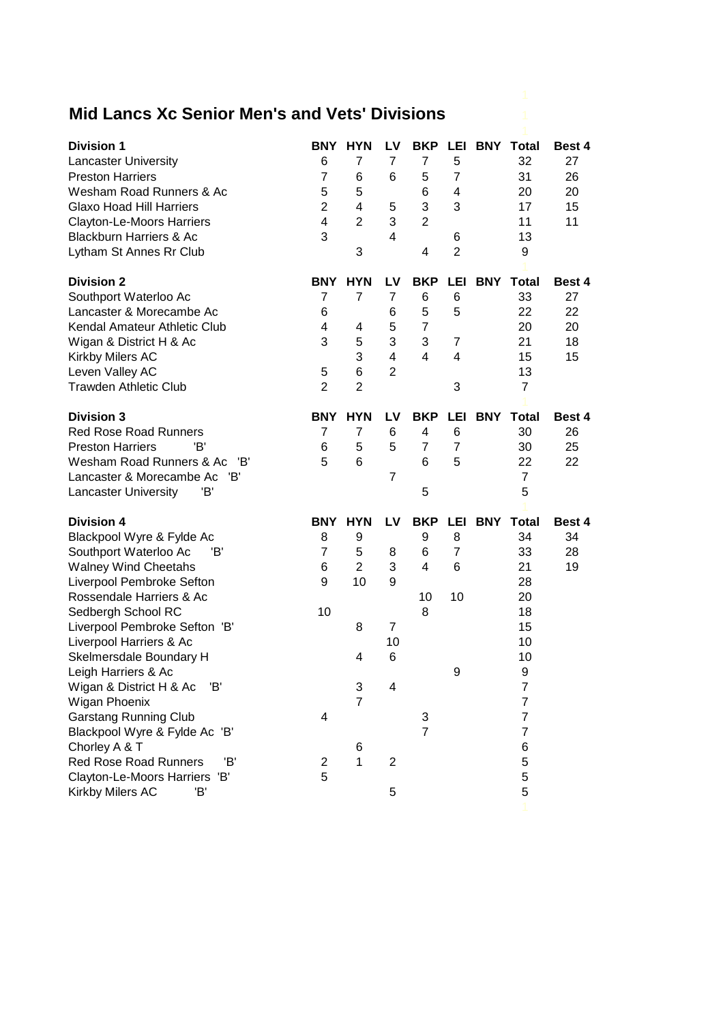## **Mid Lancs Xc Senior Men's and Vets' Divisions** 1

| <b>Division 1</b>                  | <b>BNY</b>     | <b>HYN</b>     | LV             | <b>BKP</b>     | LEI            | BNY | <b>Total</b>     | Best 4 |
|------------------------------------|----------------|----------------|----------------|----------------|----------------|-----|------------------|--------|
| <b>Lancaster University</b>        | 6              | 7              | $\overline{7}$ | 7              | 5              |     | 32               | 27     |
| <b>Preston Harriers</b>            | $\overline{7}$ | 6              | 6              | 5              | $\overline{7}$ |     | 31               | 26     |
| Wesham Road Runners & Ac           | 5              | 5              |                | 6              | 4              |     | 20               | 20     |
| <b>Glaxo Hoad Hill Harriers</b>    | $\overline{2}$ | 4              | 5              | 3              | 3              |     | 17               | 15     |
| <b>Clayton-Le-Moors Harriers</b>   | 4              | $\overline{2}$ | 3              | $\overline{2}$ |                |     | 11               | 11     |
| <b>Blackburn Harriers &amp; Ac</b> | 3              |                | 4              |                | 6              |     | 13               |        |
| Lytham St Annes Rr Club            |                | 3              |                | 4              | $\overline{2}$ |     | 9                |        |
|                                    |                |                |                |                |                |     |                  |        |
| <b>Division 2</b>                  | <b>BNY</b>     | <b>HYN</b>     | LV             | <b>BKP</b>     | <b>LEI</b>     |     | <b>BNY Total</b> | Best 4 |
| Southport Waterloo Ac              | 7              | $\overline{7}$ | $\overline{7}$ | 6              | 6              |     | 33               | 27     |
| Lancaster & Morecambe Ac           | 6              |                | 6              | 5              | 5              |     | 22               | 22     |
| Kendal Amateur Athletic Club       | 4              | 4              | 5              | $\overline{7}$ |                |     | 20               | 20     |
| Wigan & District H & Ac            | 3              | 5              | 3              | 3              | $\overline{7}$ |     | 21               | 18     |
| Kirkby Milers AC                   |                | 3              | 4              | $\overline{4}$ | $\overline{4}$ |     | 15               | 15     |
| Leven Valley AC                    | 5              | 6              | $\overline{2}$ |                |                |     | 13               |        |
| <b>Trawden Athletic Club</b>       | $\overline{2}$ | $\overline{2}$ |                |                | 3              |     | $\overline{7}$   |        |
|                                    |                |                |                |                |                |     |                  |        |
| <b>Division 3</b>                  | <b>BNY</b>     | <b>HYN</b>     | LV             | <b>BKP</b>     | LEI            |     | <b>BNY Total</b> | Best 4 |
| <b>Red Rose Road Runners</b>       | 7              | 7              | 6              | 4              | 6              |     | 30               | 26     |
| <b>Preston Harriers</b><br>'B'     | 6              | 5              | 5              | $\overline{7}$ | $\overline{7}$ |     | 30               | 25     |
| Wesham Road Runners & Ac<br>'B'    | 5              | 6              |                | 6              | 5              |     | 22               | 22     |
| Lancaster & Morecambe Ac 'B'       |                |                | $\overline{7}$ |                |                |     | $\overline{7}$   |        |
| 'B'<br><b>Lancaster University</b> |                |                |                | 5              |                |     | 5                |        |
|                                    |                |                |                |                |                |     |                  |        |
| <b>Division 4</b>                  | <b>BNY</b>     | <b>HYN</b>     | LV             | <b>BKP</b>     | LEI            |     | <b>BNY Total</b> | Best 4 |
| Blackpool Wyre & Fylde Ac          | 8              | 9              |                | 9              | 8              |     | 34               | 34     |
| Southport Waterloo Ac<br>'B'       | $\overline{7}$ | 5              | 8              | 6              | $\overline{7}$ |     | 33               | 28     |
| <b>Walney Wind Cheetahs</b>        | 6              | $\overline{2}$ | 3              | $\overline{4}$ | 6              |     | 21               | 19     |
| Liverpool Pembroke Sefton          | 9              | 10             | 9              |                |                |     | 28               |        |
| Rossendale Harriers & Ac           |                |                |                | 10             | 10             |     | 20               |        |
| Sedbergh School RC                 | 10             |                |                | 8              |                |     | 18               |        |
| Liverpool Pembroke Sefton 'B'      |                | 8              | 7              |                |                |     | 15               |        |
| Liverpool Harriers & Ac            |                |                | 10             |                |                |     | 10               |        |
| Skelmersdale Boundary H            |                | 4              | 6              |                |                |     | 10               |        |
| Leigh Harriers & Ac                |                |                |                |                | 9              |     | 9                |        |
| Wigan & District H & Ac<br>'B'     |                | 3              | 4              |                |                |     | 7                |        |
| Wigan Phoenix                      |                | $\overline{7}$ |                |                |                |     | 7                |        |
| <b>Garstang Running Club</b>       | 4              |                |                | 3              |                |     | 7                |        |
| Blackpool Wyre & Fylde Ac 'B'      |                |                |                | $\overline{7}$ |                |     | $\overline{7}$   |        |
| Chorley A & T                      |                | 6              |                |                |                |     | 6                |        |
| Red Rose Road Runners<br>'B'       | $\overline{c}$ | $\mathbf{1}$   | $\overline{c}$ |                |                |     | 5                |        |
| Clayton-Le-Moors Harriers 'B'      | 5              |                |                |                |                |     | 5                |        |
| Kirkby Milers AC<br>'B'            |                |                | 5              |                |                |     | 5                |        |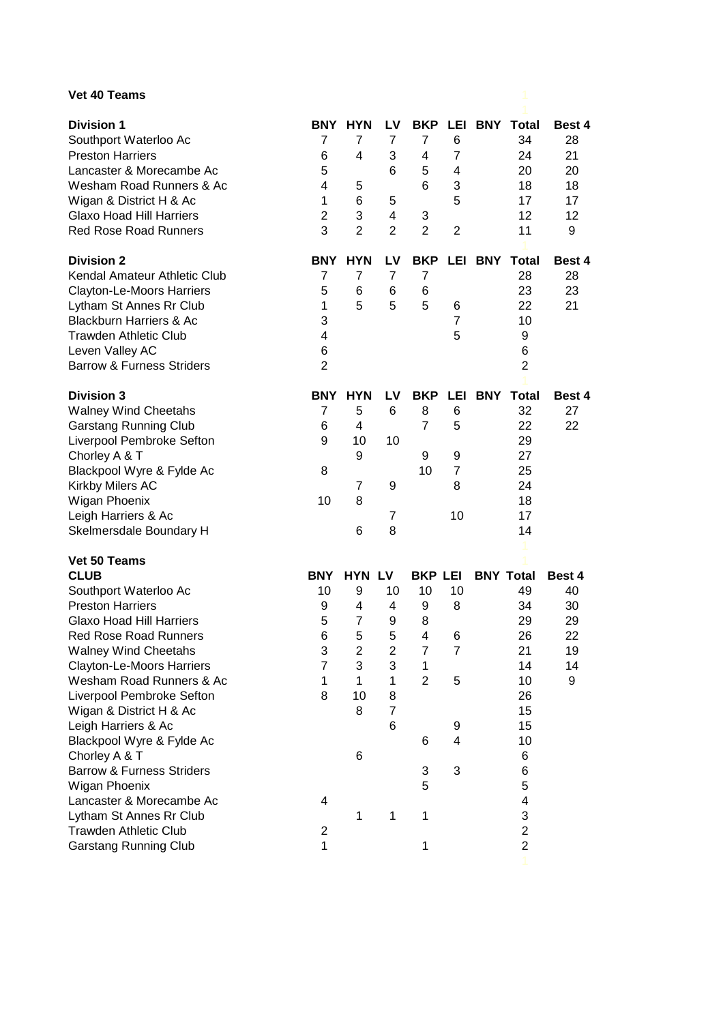## **Vet 40 Teams**

| 7<br>6<br>5<br>4<br>1<br>$\overline{2}$<br>3                                    | <b>HYN</b><br>7<br>4<br>5<br>6<br>3<br>$\overline{2}$                          | LV.<br>$\overline{7}$<br>3<br>6<br>5<br>4<br>$\overline{2}$       | 7<br>4<br>5<br>6<br>3<br>$\overline{2}$                                             | 6<br>$\overline{7}$<br>4<br>3<br>5<br>$\overline{2}$ |                | 34<br>24<br>20<br>18<br>17<br>12<br>11                                                                                      | Best 4<br>28<br>21<br>20<br>18<br>17<br>12<br>9                                 |
|---------------------------------------------------------------------------------|--------------------------------------------------------------------------------|-------------------------------------------------------------------|-------------------------------------------------------------------------------------|------------------------------------------------------|----------------|-----------------------------------------------------------------------------------------------------------------------------|---------------------------------------------------------------------------------|
| <b>BNY</b><br>7<br>5<br>1<br>3<br>4<br>6<br>$\overline{2}$                      | <b>HYN</b><br>$\overline{7}$<br>6<br>5                                         | LV<br>$\overline{7}$<br>6<br>5                                    | <b>BKP</b><br>7<br>6<br>5                                                           | 6<br>$\overline{7}$<br>5                             |                | <b>Total</b><br>28<br>23<br>22<br>10<br>9<br>6<br>$\overline{2}$                                                            | Best 4<br>28<br>23<br>21                                                        |
| <b>BNY</b><br>7<br>6<br>9<br>8<br>10                                            | <b>HYN</b><br>5<br>4<br>10<br>9<br>$\overline{7}$<br>8<br>6                    | LV<br>6<br>10<br>9<br>7<br>8                                      | <b>BKP</b><br>8<br>$\overline{7}$<br>9<br>10                                        | 6<br>5<br>9<br>$\overline{7}$<br>8<br>10             |                | 32<br>22<br>29<br>27<br>25<br>24<br>18<br>17<br>14                                                                          | Best 4<br>27<br>22                                                              |
| <b>BNY</b><br>10<br>9<br>5<br>6<br>3<br>$\overline{7}$<br>1<br>8<br>4<br>2<br>1 | 9<br>4<br>$\overline{7}$<br>5<br>$\overline{2}$<br>3<br>1<br>10<br>8<br>6<br>1 | 10<br>4<br>9<br>5<br>$\overline{c}$<br>3<br>1<br>8<br>7<br>6<br>1 | 10<br>9<br>8<br>4<br>$\overline{7}$<br>1<br>$\overline{2}$<br>6<br>3<br>5<br>1<br>1 | 10<br>8<br>6<br>$\overline{7}$<br>5<br>9<br>4<br>3   |                | 49<br>34<br>29<br>26<br>21<br>14<br>10<br>26<br>15<br>15<br>10<br>6<br>6<br>5<br>4<br>3<br>$\overline{2}$<br>$\overline{2}$ | Best 4<br>40<br>30<br>29<br>22<br>19<br>14<br>9                                 |
|                                                                                 |                                                                                | <b>BNY</b>                                                        | <b>HYN LV</b>                                                                       |                                                      | <b>BKP LEI</b> |                                                                                                                             | <b>BKP LEI BNY Total</b><br>LEI BNY<br><b>LEI BNY Total</b><br><b>BNY Total</b> |